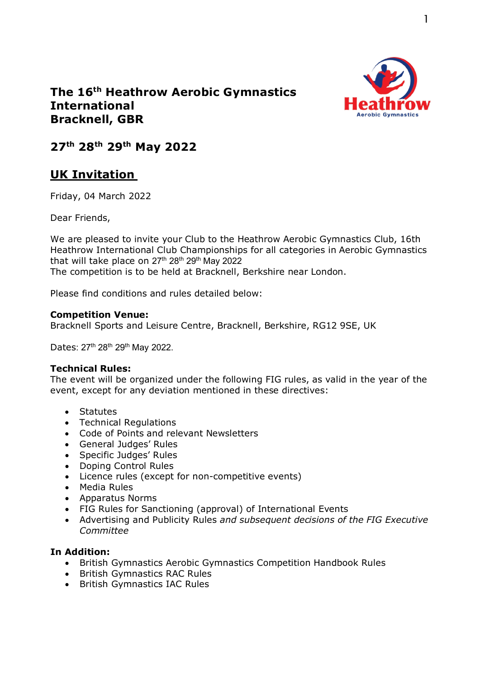

## **The 16th Heathrow Aerobic Gymnastics International Bracknell, GBR**

**27th 28th 29th May 2022**

# **UK Invitation**

Friday, 04 March 2022

Dear Friends,

We are pleased to invite your Club to the Heathrow Aerobic Gymnastics Club, 16th Heathrow International Club Championships for all categories in Aerobic Gymnastics that will take place on  $27<sup>th</sup> 28<sup>th</sup> 29<sup>th</sup>$  May 2022

The competition is to be held at Bracknell, Berkshire near London.

Please find conditions and rules detailed below:

### **Competition Venue:**

Bracknell Sports and Leisure Centre, Bracknell, Berkshire, RG12 9SE, UK

Dates: 27<sup>th</sup> 28<sup>th</sup> 29<sup>th</sup> May 2022.

### **Technical Rules:**

The event will be organized under the following FIG rules, as valid in the year of the event, except for any deviation mentioned in these directives:

- Statutes
- Technical Regulations
- Code of Points and relevant Newsletters
- General Judges' Rules
- Specific Judges' Rules
- Doping Control Rules
- Licence rules (except for non-competitive events)
- Media Rules
- Apparatus Norms
- FIG Rules for Sanctioning (approval) of International Events
- Advertising and Publicity Rules *and subsequent decisions of the FIG Executive Committee*

### **In Addition:**

- British Gymnastics Aerobic Gymnastics Competition Handbook Rules
- British Gymnastics RAC Rules
- British Gymnastics IAC Rules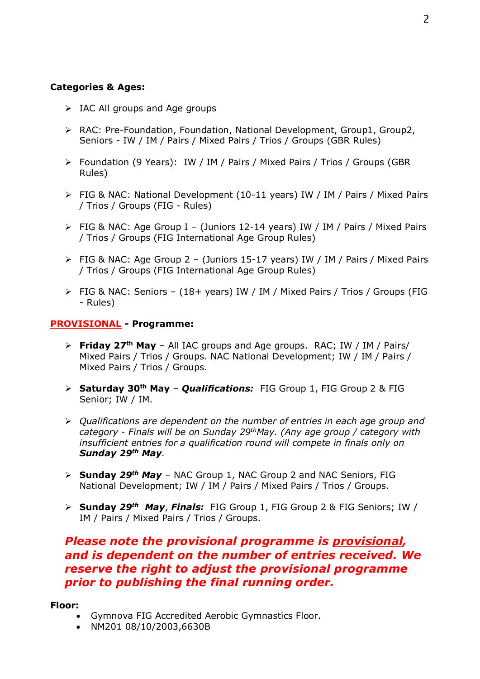### **Categories & Ages:**

- $\triangleright$  IAC All groups and Age groups
- RAC: Pre-Foundation, Foundation, National Development, Group1, Group2, Seniors - IW / IM / Pairs / Mixed Pairs / Trios / Groups (GBR Rules)
- Foundation (9 Years): IW / IM / Pairs / Mixed Pairs / Trios / Groups (GBR Rules)
- FIG & NAC: National Development (10-11 years) IW / IM / Pairs / Mixed Pairs / Trios / Groups (FIG - Rules)
- FIG & NAC: Age Group I (Juniors 12-14 years) IW / IM / Pairs / Mixed Pairs / Trios / Groups (FIG International Age Group Rules)
- FIG & NAC: Age Group 2 (Juniors 15-17 years) IW / IM / Pairs / Mixed Pairs / Trios / Groups (FIG International Age Group Rules)
- FIG & NAC: Seniors (18+ years) IW / IM / Mixed Pairs / Trios / Groups (FIG - Rules)

#### **PROVISIONAL - Programme:**

- **Friday 27th May** All IAC groups and Age groups. RAC; IW / IM / Pairs/ Mixed Pairs / Trios / Groups. NAC National Development; IW / IM / Pairs / Mixed Pairs / Trios / Groups.
- **Saturday 30th May** *Qualifications:* FIG Group 1, FIG Group 2 & FIG Senior; IW / IM.
- *Qualifications are dependent on the number of entries in each age group and category - Finals will be on Sunday 29thMay. (Any age group / category with insufficient entries for a qualification round will compete in finals only on Sunday 29th May.*
- **Sunday** *29th May* NAC Group 1, NAC Group 2 and NAC Seniors, FIG National Development; IW / IM / Pairs / Mixed Pairs / Trios / Groups.
- **Sunday** *29th May*, *Finals:* FIG Group 1, FIG Group 2 & FIG Seniors; IW / IM / Pairs / Mixed Pairs / Trios / Groups.

## *Please note the provisional programme is provisional, and is dependent on the number of entries received. We reserve the right to adjust the provisional programme prior to publishing the final running order.*

#### **Floor:**

- Gymnova FIG Accredited Aerobic Gymnastics Floor.
- NM201 08/10/2003,6630B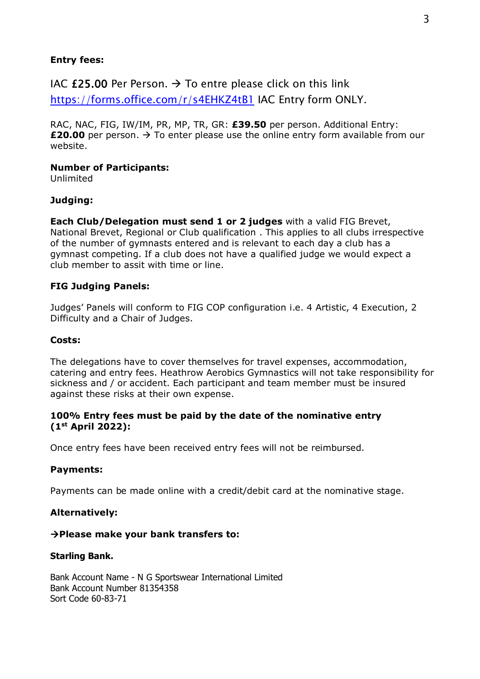#### **Entry fees:**

IAC £25.00 Per Person.  $\rightarrow$  To entre please click on this link

<https://forms.office.com/r/s4EHKZ4tB1> IAC Entry form ONLY.

RAC, NAC, FIG, IW/IM, PR, MP, TR, GR: **£39.50** per person. Additional Entry: **£20.00** per person.  $\rightarrow$  To enter please use the online entry form available from our website.

#### **Number of Participants:**

Unlimited

### **Judging:**

**Each Club/Delegation must send 1 or 2 judges** with a valid FIG Brevet, National Brevet, Regional or Club qualification . This applies to all clubs irrespective of the number of gymnasts entered and is relevant to each day a club has a gymnast competing. If a club does not have a qualified judge we would expect a club member to assit with time or line.

#### **FIG Judging Panels:**

Judges' Panels will conform to FIG COP configuration i.e. 4 Artistic, 4 Execution, 2 Difficulty and a Chair of Judges.

#### **Costs:**

The delegations have to cover themselves for travel expenses, accommodation, catering and entry fees. Heathrow Aerobics Gymnastics will not take responsibility for sickness and / or accident. Each participant and team member must be insured against these risks at their own expense.

#### **100% Entry fees must be paid by the date of the nominative entry (1st April 2022):**

Once entry fees have been received entry fees will not be reimbursed.

#### **Payments:**

Payments can be made online with a credit/debit card at the nominative stage.

#### **Alternatively:**

#### **Please make your bank transfers to:**

#### **Starling Bank.**

Bank Account Name - N G Sportswear International Limited Bank Account Number 81354358 Sort Code 60-83-71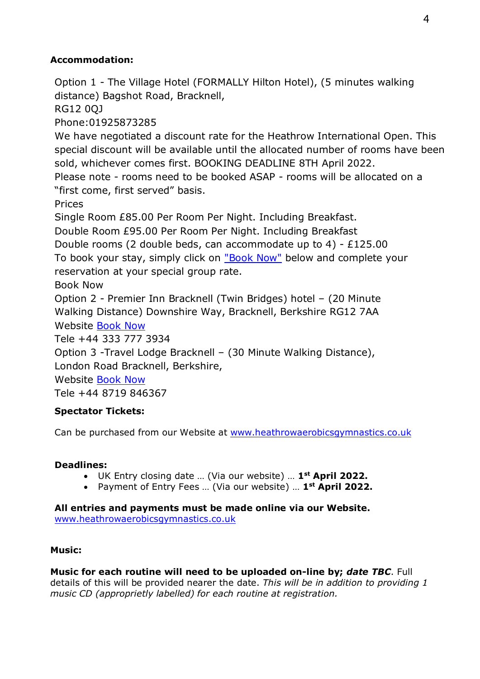## **Accommodation:**

Option 1 - The Village Hotel (FORMALLY Hilton Hotel), (5 minutes walking distance) Bagshot Road, Bracknell,

RG12 0QJ

Phone:01925873285

We have negotiated a discount rate for the Heathrow International Open. This special discount will be available until the allocated number of rooms have been sold, whichever comes first. BOOKING DEADLINE 8TH April 2022.

Please note - rooms need to be booked ASAP - rooms will be allocated on a "first come, first served" basis.

Prices

Single Room £85.00 Per Room Per Night. Including Breakfast.

Double Room £95.00 Per Room Per Night. Including Breakfast

Double rooms (2 double beds, can accommodate up to 4) - £125.00

To book your stay, simply click on ["Book Now"](https://reservations.village-hotels.co.uk/114377?groupID=3409715#/guestsandrooms) below and complete your reservation at your special group rate.

Book Now

Option 2 - Premier Inn Bracknell (Twin Bridges) hotel – (20 Minute Walking Distance) Downshire Way, Bracknell, Berkshire RG12 7AA Website [Book Now](https://www.premierinn.com/gb/en/hotels/england/berkshire/bracknell/bracknell-twin-bridges.html?cid=KNC_Brn|_B_UK_UK_Eng_Enc_Brand%20Destinations_LO_Berkshire_EX&mckv=ujy5yWQL_dc|pcrid|76072496750952|kword|premier%20inn%20bracknell|match|be|plid||pgrid|1217159478279721|ptaid|kwd-76072544245351:loc-188|&ef_id=ff26649700ef13f96e54068494019966:G:s&s_kwcid=AL!9693!10!76072496750952!76072544245351&msclkid=ff26649700ef13f96e54068494019966)

Tele +44 333 777 3934

Option 3 -Travel Lodge Bracknell – (30 Minute Walking Distance),

London Road Bracknell, Berkshire,

Website [Book Now](https://www.travelodge.co.uk/hotels/363/Bracknell-Central-hotel)

Tele +44 8719 846367

## **Spectator Tickets:**

Can be purchased from our Website at [www.heathrowaerobicsgymnastics.co.uk](http://www.heathrowaerobicsgymnastics.co.uk/)

## **Deadlines:**

- UK Entry closing date … (Via our website) … **1st April 2022.**
- Payment of Entry Fees … (Via our website) … **1st April 2022.**

**All entries and payments must be made online via our Website.**  [www.heathrowaerobicsgymnastics.co.uk](http://www.heathrowaerobicsgymnastics.co.uk/)

## **Music:**

**Music for each routine will need to be uploaded on-line by;** *date TBC*. Full details of this will be provided nearer the date. *This will be in addition to providing 1 music CD (approprietly labelled) for each routine at registration.*